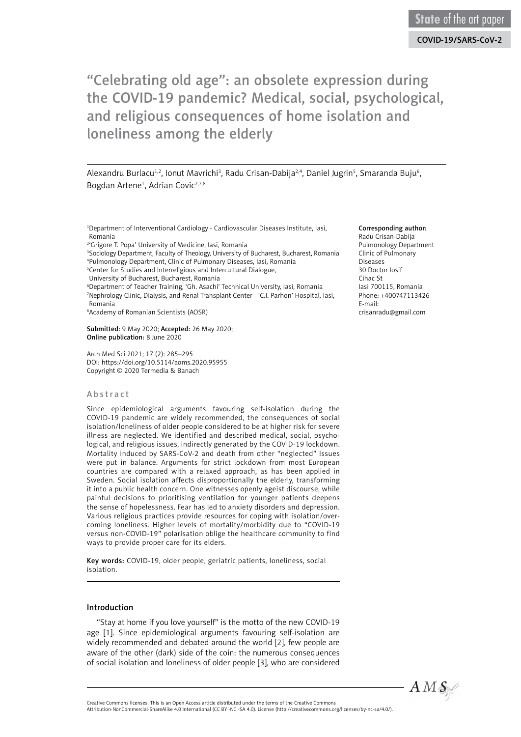Alexandru Burlacu½, Ionut Mavrichi¾, Radu Crisan-Dabija¾, Daniel Jugrin5, Smaranda Buju6, Bogdan Artene<sup>1</sup>, Adrian Covic<sup>2,7,8</sup>

<sup>1</sup>Department of Interventional Cardiology - Cardiovascular Diseases Institute, Iasi, Romania

2 'Grigore T. Popa' University of Medicine, Iasi, Romania

3 Sociology Department, Faculty of Theology, University of Bucharest, Bucharest, Romania 4 Pulmonology Department, Clinic of Pulmonary Diseases, Iasi, Romania

<sup>5</sup> Center for Studies and Interreligious and Intercultural Dialogue,

University of Bucharest, Bucharest, Romania

6 Department of Teacher Training, 'Gh. Asachi' Technical University, Iasi, Romania 7 Nephrology Clinic, Dialysis, and Renal Transplant Center - 'C.I. Parhon' Hospital, Iasi, Romania

8 Academy of Romanian Scientists (AOSR)

Submitted: 9 May 2020; Accepted: 26 May 2020; Online publication: 8 June 2020

Arch Med Sci 2021; 17 (2): 285–295 DOI: https://doi.org/10.5114/aoms.2020.95955 Copyright © 2020 Termedia & Banach

#### Abstract

Since epidemiological arguments favouring self-isolation during the COVID-19 pandemic are widely recommended, the consequences of social isolation/loneliness of older people considered to be at higher risk for severe illness are neglected. We identified and described medical, social, psychological, and religious issues, indirectly generated by the COVID-19 lockdown. Mortality induced by SARS-CoV-2 and death from other "neglected" issues were put in balance. Arguments for strict lockdown from most European countries are compared with a relaxed approach, as has been applied in Sweden. Social isolation affects disproportionally the elderly, transforming it into a public health concern. One witnesses openly ageist discourse, while painful decisions to prioritising ventilation for younger patients deepens the sense of hopelessness. Fear has led to anxiety disorders and depression. Various religious practices provide resources for coping with isolation/overcoming loneliness. Higher levels of mortality/morbidity due to "COVID-19 versus non-COVID-19" polarisation oblige the healthcare community to find ways to provide proper care for its elders.

Key words: COVID-19, older people, geriatric patients, loneliness, social isolation.

#### Introduction

"Stay at home if you love yourself" is the motto of the new COVID-19 age [1]. Since epidemiological arguments favouring self-isolation are widely recommended and debated around the world [2], few people are aware of the other (dark) side of the coin: the numerous consequences of social isolation and loneliness of older people [3], who are considered

#### Corresponding author:

Radu Crisan-Dabija Pulmonology Department Clinic of Pulmonary Diseases 30 Doctor Iosif Cihac St Iasi 700115, Romania Phone: +400747113426 E-mail: crisanradu@gmail.com

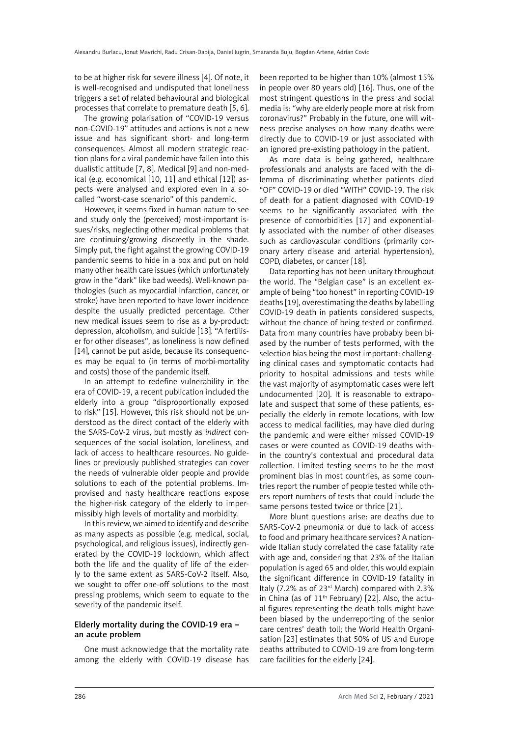to be at higher risk for severe illness [4]. Of note, it is well-recognised and undisputed that loneliness triggers a set of related behavioural and biological processes that correlate to premature death [5, 6].

The growing polarisation of "COVID-19 versus non-COVID-19" attitudes and actions is not a new issue and has significant short- and long-term consequences. Almost all modern strategic reaction plans for a viral pandemic have fallen into this dualistic attitude [7, 8]. Medical [9] and non-medical (e.g. economical [10, 11] and ethical [12]) aspects were analysed and explored even in a socalled "worst-case scenario" of this pandemic.

However, it seems fixed in human nature to see and study only the (perceived) most-important issues/risks, neglecting other medical problems that are continuing/growing discreetly in the shade. Simply put, the fight against the growing COVID-19 pandemic seems to hide in a box and put on hold many other health care issues (which unfortunately grow in the "dark" like bad weeds). Well-known pathologies (such as myocardial infarction, cancer, or stroke) have been reported to have lower incidence despite the usually predicted percentage. Other new medical issues seem to rise as a by-product: depression, alcoholism, and suicide [13]. "A fertiliser for other diseases", as loneliness is now defined [14], cannot be put aside, because its consequences may be equal to (in terms of morbi-mortality and costs) those of the pandemic itself.

In an attempt to redefine vulnerability in the era of COVID-19, a recent publication included the elderly into a group "disproportionally exposed to risk" [15]. However, this risk should not be understood as the direct contact of the elderly with the SARS-CoV-2 virus, but mostly as *indirect* consequences of the social isolation, loneliness, and lack of access to healthcare resources. No guidelines or previously published strategies can cover the needs of vulnerable older people and provide solutions to each of the potential problems. Improvised and hasty healthcare reactions expose the higher-risk category of the elderly to impermissibly high levels of mortality and morbidity.

In this review, we aimed to identify and describe as many aspects as possible (e.g. medical, social, psychological, and religious issues), indirectly generated by the COVID-19 lockdown, which affect both the life and the quality of life of the elderly to the same extent as SARS-CoV-2 itself. Also, we sought to offer one-off solutions to the most pressing problems, which seem to equate to the severity of the pandemic itself.

#### Elderly mortality during the COVID-19 era – an acute problem

One must acknowledge that the mortality rate among the elderly with COVID-19 disease has been reported to be higher than 10% (almost 15% in people over 80 years old) [16]. Thus, one of the most stringent questions in the press and social media is: "why are elderly people more at risk from coronavirus?" Probably in the future, one will witness precise analyses on how many deaths were directly due to COVID-19 or just associated with an ignored pre-existing pathology in the patient.

As more data is being gathered, healthcare professionals and analysts are faced with the dilemma of discriminating whether patients died "OF" COVID-19 or died "WITH" COVID-19. The risk of death for a patient diagnosed with COVID-19 seems to be significantly associated with the presence of comorbidities [17] and exponentially associated with the number of other diseases such as cardiovascular conditions (primarily coronary artery disease and arterial hypertension), COPD, diabetes, or cancer [18].

Data reporting has not been unitary throughout the world. The "Belgian case" is an excellent example of being "too honest" in reporting COVID-19 deaths [19], overestimating the deaths by labelling COVID-19 death in patients considered suspects, without the chance of being tested or confirmed. Data from many countries have probably been biased by the number of tests performed, with the selection bias being the most important: challenging clinical cases and symptomatic contacts had priority to hospital admissions and tests while the vast majority of asymptomatic cases were left undocumented [20]. It is reasonable to extrapolate and suspect that some of these patients, especially the elderly in remote locations, with low access to medical facilities, may have died during the pandemic and were either missed COVID-19 cases or were counted as COVID-19 deaths within the country's contextual and procedural data collection. Limited testing seems to be the most prominent bias in most countries, as some countries report the number of people tested while others report numbers of tests that could include the same persons tested twice or thrice [21].

More blunt questions arise: are deaths due to SARS-CoV-2 pneumonia or due to lack of access to food and primary healthcare services? A nationwide Italian study correlated the case fatality rate with age and, considering that 23% of the Italian population is aged 65 and older, this would explain the significant difference in COVID-19 fatality in Italy (7.2% as of 23rd March) compared with 2.3% in China (as of  $11<sup>th</sup>$  February) [22]. Also, the actual figures representing the death tolls might have been biased by the underreporting of the senior care centres' death toll; the World Health Organisation [23] estimates that 50% of US and Europe deaths attributed to COVID-19 are from long-term care facilities for the elderly [24].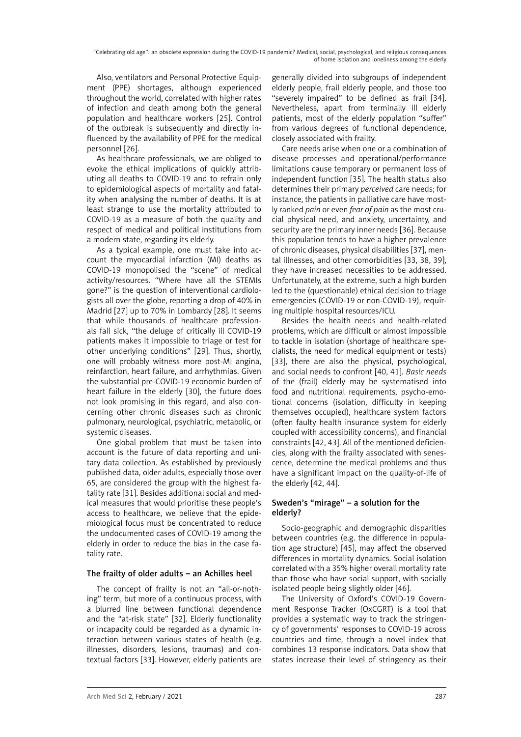Also, ventilators and Personal Protective Equipment (PPE) shortages, although experienced throughout the world, correlated with higher rates of infection and death among both the general population and healthcare workers [25]. Control of the outbreak is subsequently and directly influenced by the availability of PPE for the medical personnel [26].

As healthcare professionals, we are obliged to evoke the ethical implications of quickly attributing all deaths to COVID-19 and to refrain only to epidemiological aspects of mortality and fatality when analysing the number of deaths. It is at least strange to use the mortality attributed to COVID-19 as a measure of both the quality and respect of medical and political institutions from a modern state, regarding its elderly.

As a typical example, one must take into account the myocardial infarction (MI) deaths as COVID-19 monopolised the "scene" of medical activity/resources. "Where have all the STEMIs gone?" is the question of interventional cardiologists all over the globe, reporting a drop of 40% in Madrid [27] up to 70% in Lombardy [28]. It seems that while thousands of healthcare professionals fall sick, "the deluge of critically ill COVID-19 patients makes it impossible to triage or test for other underlying conditions" [29]. Thus, shortly, one will probably witness more post-MI angina, reinfarction, heart failure, and arrhythmias. Given the substantial pre-COVID-19 economic burden of heart failure in the elderly [30], the future does not look promising in this regard, and also concerning other chronic diseases such as chronic pulmonary, neurological, psychiatric, metabolic, or systemic diseases.

One global problem that must be taken into account is the future of data reporting and unitary data collection. As established by previously published data, older adults, especially those over 65, are considered the group with the highest fatality rate [31]. Besides additional social and medical measures that would prioritise these people's access to healthcare, we believe that the epidemiological focus must be concentrated to reduce the undocumented cases of COVID-19 among the elderly in order to reduce the bias in the case fatality rate.

# The frailty of older adults – an Achilles heel

The concept of frailty is not an "all-or-nothing" term, but more of a continuous process, with a blurred line between functional dependence and the "at-risk state" [32]. Elderly functionality or incapacity could be regarded as a dynamic interaction between various states of health (e.g. illnesses, disorders, lesions, traumas) and contextual factors [33]. However, elderly patients are

generally divided into subgroups of independent elderly people, frail elderly people, and those too "severely impaired" to be defined as frail [34]. Nevertheless, apart from terminally ill elderly patients, most of the elderly population "suffer" from various degrees of functional dependence, closely associated with frailty.

Care needs arise when one or a combination of disease processes and operational/performance limitations cause temporary or permanent loss of independent function [35]. The health status also determines their primary *perceived* care needs; for instance, the patients in palliative care have mostly ranked *pain* or even *fear of pain* as the most crucial physical need, and anxiety, uncertainty, and security are the primary inner needs [36]. Because this population tends to have a higher prevalence of chronic diseases, physical disabilities [37], mental illnesses, and other comorbidities [33, 38, 39], they have increased necessities to be addressed. Unfortunately, at the extreme, such a high burden led to the (questionable) ethical decision to triage emergencies (COVID-19 or non-COVID-19), requiring multiple hospital resources/ICU.

Besides the health needs and health-related problems, which are difficult or almost impossible to tackle in isolation (shortage of healthcare specialists, the need for medical equipment or tests) [33], there are also the physical, psychological, and social needs to confront [40, 41]. *Basic needs* of the (frail) elderly may be systematised into food and nutritional requirements, psycho-emotional concerns (isolation, difficulty in keeping themselves occupied), healthcare system factors (often faulty health insurance system for elderly coupled with accessibility concerns), and financial constraints [42, 43]. All of the mentioned deficiencies, along with the frailty associated with senescence, determine the medical problems and thus have a significant impact on the quality-of-life of the elderly [42, 44].

# Sweden's "mirage" – a solution for the elderly?

Socio-geographic and demographic disparities between countries (e.g. the difference in population age structure) [45], may affect the observed differences in mortality dynamics. Social isolation correlated with a 35% higher overall mortality rate than those who have social support, with socially isolated people being slightly older [46].

The University of Oxford's COVID-19 Government Response Tracker (OxCGRT) is a tool that provides a systematic way to track the stringency of governments' responses to COVID-19 across countries and time, through a novel index that combines 13 response indicators. Data show that states increase their level of stringency as their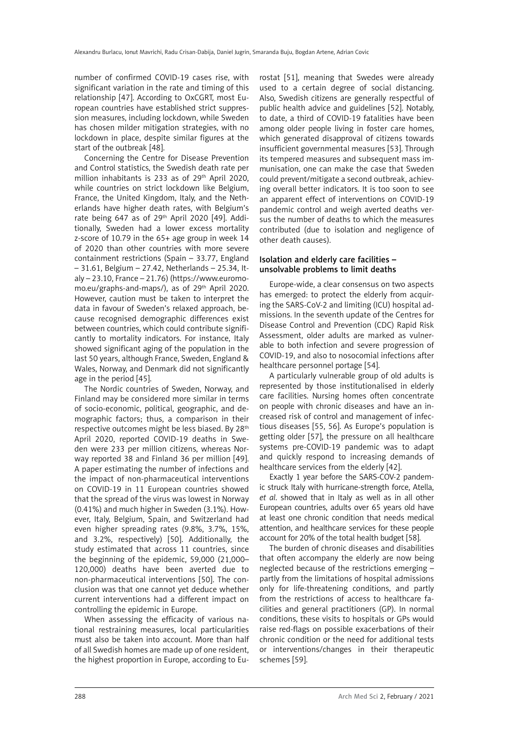number of confirmed COVID-19 cases rise, with significant variation in the rate and timing of this relationship [47]. According to OxCGRT, most European countries have established strict suppression measures, including lockdown, while Sweden has chosen milder mitigation strategies, with no lockdown in place, despite similar figures at the start of the outbreak [48].

Concerning the Centre for Disease Prevention and Control statistics, the Swedish death rate per million inhabitants is 233 as of 29<sup>th</sup> April 2020. while countries on strict lockdown like Belgium, France, the United Kingdom, Italy, and the Netherlands have higher death rates, with Belgium's rate being 647 as of  $29<sup>th</sup>$  April 2020 [49]. Additionally, Sweden had a lower excess mortality z-score of 10.79 in the 65+ age group in week 14 of 2020 than other countries with more severe containment restrictions (Spain – 33.77, England – 31.61, Belgium – 27.42, Netherlands – 25.34, Italy – 23.10, France – 21.76) [\(https://www.euromo](https://www.euromomo.eu/graphs-and-maps/)[mo.eu/graphs-and-maps/](https://www.euromomo.eu/graphs-and-maps/)), as of 29<sup>th</sup> April 2020. However, caution must be taken to interpret the data in favour of Sweden's relaxed approach, because recognised demographic differences exist between countries, which could contribute significantly to mortality indicators. For instance, Italy showed significant aging of the population in the last 50 years, although France, Sweden, England & Wales, Norway, and Denmark did not significantly age in the period [45].

The Nordic countries of Sweden, Norway, and Finland may be considered more similar in terms of socio-economic, political, geographic, and demographic factors; thus, a comparison in their respective outcomes might be less biased. By 28<sup>th</sup> April 2020, reported COVID-19 deaths in Sweden were 233 per million citizens, whereas Norway reported 38 and Finland 36 per million [49]. A paper estimating the number of infections and the impact of non-pharmaceutical interventions on COVID-19 in 11 European countries showed that the spread of the virus was lowest in Norway (0.41%) and much higher in Sweden (3.1%). However, Italy, Belgium, Spain, and Switzerland had even higher spreading rates (9.8%, 3.7%, 15%, and 3.2%, respectively) [50]. Additionally, the study estimated that across 11 countries, since the beginning of the epidemic, 59,000 (21,000– 120,000) deaths have been averted due to non-pharmaceutical interventions [50]. The conclusion was that one cannot yet deduce whether current interventions had a different impact on controlling the epidemic in Europe.

When assessing the efficacity of various national restraining measures, local particularities must also be taken into account. More than half of all Swedish homes are made up of one resident, the highest proportion in Europe, according to Eurostat [51], meaning that Swedes were already used to a certain degree of social distancing. Also, Swedish citizens are generally respectful of public health advice and guidelines [52]. Notably, to date, a third of COVID-19 fatalities have been among older people living in foster care homes, which generated disapproval of citizens towards insufficient governmental measures [53]. Through its tempered measures and subsequent mass immunisation, one can make the case that Sweden could prevent/mitigate a second outbreak, achieving overall better indicators. It is too soon to see an apparent effect of interventions on COVID-19 pandemic control and weigh averted deaths versus the number of deaths to which the measures contributed (due to isolation and negligence of other death causes).

#### Isolation and elderly care facilities – unsolvable problems to limit deaths

Europe-wide, a clear consensus on two aspects has emerged: to protect the elderly from acquiring the SARS-CoV-2 and limiting (ICU) hospital admissions. In the seventh update of the Centres for Disease Control and Prevention (CDC) Rapid Risk Assessment, older adults are marked as vulnerable to both infection and severe progression of COVID-19, and also to nosocomial infections after healthcare personnel portage [54].

A particularly vulnerable group of old adults is represented by those institutionalised in elderly care facilities. Nursing homes often concentrate on people with chronic diseases and have an increased risk of control and management of infectious diseases [55, 56]. As Europe's population is getting older [57], the pressure on all healthcare systems pre-COVID-19 pandemic was to adapt and quickly respond to increasing demands of healthcare services from the elderly [42].

Exactly 1 year before the SARS-COV-2 pandemic struck Italy with hurricane-strength force, Atella, *et al*. showed that in Italy as well as in all other European countries, adults over 65 years old have at least one chronic condition that needs medical attention, and healthcare services for these people account for 20% of the total health budget [58].

The burden of chronic diseases and disabilities that often accompany the elderly are now being neglected because of the restrictions emerging – partly from the limitations of hospital admissions only for life-threatening conditions, and partly from the restrictions of access to healthcare facilities and general practitioners (GP). In normal conditions, these visits to hospitals or GPs would raise red-flags on possible exacerbations of their chronic condition or the need for additional tests or interventions/changes in their therapeutic schemes [59].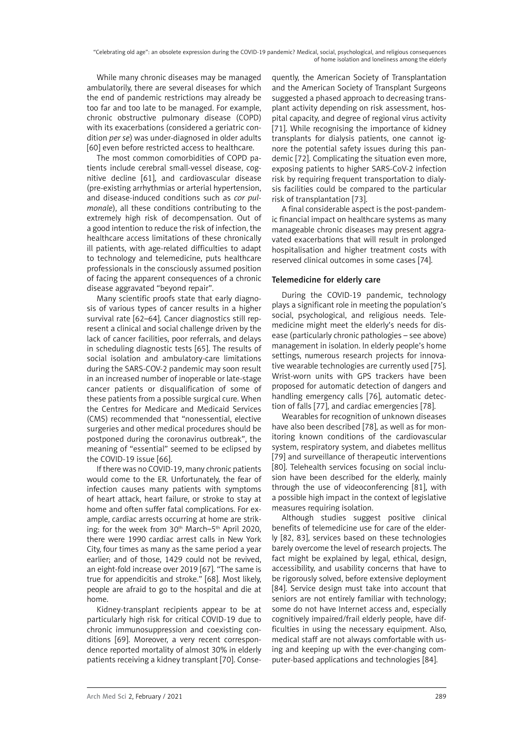While many chronic diseases may be managed ambulatorily, there are several diseases for which the end of pandemic restrictions may already be too far and too late to be managed. For example, chronic obstructive pulmonary disease (COPD) with its exacerbations (considered a geriatric condition *per se*) was under-diagnosed in older adults [60] even before restricted access to healthcare.

The most common comorbidities of COPD patients include cerebral small-vessel disease, cognitive decline [61], and cardiovascular disease (pre-existing arrhythmias or arterial hypertension, and disease-induced conditions such as *cor pulmonale*), all these conditions contributing to the extremely high risk of decompensation. Out of a good intention to reduce the risk of infection, the healthcare access limitations of these chronically ill patients, with age-related difficulties to adapt to technology and telemedicine, puts healthcare professionals in the consciously assumed position of facing the apparent consequences of a chronic disease aggravated "beyond repair".

Many scientific proofs state that early diagnosis of various types of cancer results in a higher survival rate [62–64]. Cancer diagnostics still represent a clinical and social challenge driven by the lack of cancer facilities, poor referrals, and delays in scheduling diagnostic tests [65]. The results of social isolation and ambulatory-care limitations during the SARS-COV-2 pandemic may soon result in an increased number of inoperable or late-stage cancer patients or disqualification of some of these patients from a possible surgical cure. When the Centres for Medicare and Medicaid Services (CMS) recommended that "nonessential, elective surgeries and other medical procedures should be postponed during the coronavirus outbreak", the meaning of "essential" seemed to be eclipsed by the COVID-19 issue [66].

If there was no COVID-19, many chronic patients would come to the ER. Unfortunately, the fear of infection causes many patients with symptoms of heart attack, heart failure, or stroke to stay at home and often suffer fatal complications. For example, cardiac arrests occurring at home are striking: for the week from 30<sup>th</sup> March–5<sup>th</sup> April 2020, there were 1990 cardiac arrest calls in New York City, four times as many as the same period a year earlier; and of those, 1429 could not be revived, an eight-fold increase over 2019 [67]. "The same is true for appendicitis and stroke." [68]. Most likely, people are afraid to go to the hospital and die at home.

Kidney-transplant recipients appear to be at particularly high risk for critical COVID-19 due to chronic immunosuppression and coexisting conditions [69]. Moreover, a very recent correspondence reported mortality of almost 30% in elderly patients receiving a kidney transplant [70]. Consequently, the American Society of Transplantation and the American Society of Transplant Surgeons suggested a phased approach to decreasing transplant activity depending on risk assessment, hospital capacity, and degree of regional virus activity [71]. While recognising the importance of kidney transplants for dialysis patients, one cannot ignore the potential safety issues during this pandemic [72]. Complicating the situation even more, exposing patients to higher SARS-CoV-2 infection risk by requiring frequent transportation to dialysis facilities could be compared to the particular risk of transplantation [73].

A final considerable aspect is the post-pandemic financial impact on healthcare systems as many manageable chronic diseases may present aggravated exacerbations that will result in prolonged hospitalisation and higher treatment costs with reserved clinical outcomes in some cases [74].

# Telemedicine for elderly care

During the COVID-19 pandemic, technology plays a significant role in meeting the population's social, psychological, and religious needs. Telemedicine might meet the elderly's needs for disease (particularly chronic pathologies – see above) management in isolation. In elderly people's home settings, numerous research projects for innovative wearable technologies are currently used [75]. Wrist-worn units with GPS trackers have been proposed for automatic detection of dangers and handling emergency calls [76], automatic detection of falls [77], and cardiac emergencies [78].

Wearables for recognition of unknown diseases have also been described [78], as well as for monitoring known conditions of the cardiovascular system, respiratory system, and diabetes mellitus [79] and surveillance of therapeutic interventions [80]. Telehealth services focusing on social inclusion have been described for the elderly, mainly through the use of videoconferencing [81], with a possible high impact in the context of legislative measures requiring isolation.

Although studies suggest positive clinical benefits of telemedicine use for care of the elderly [82, 83], services based on these technologies barely overcome the level of research projects. The fact might be explained by legal, ethical, design, accessibility, and usability concerns that have to be rigorously solved, before extensive deployment [84]. Service design must take into account that seniors are not entirely familiar with technology; some do not have Internet access and, especially cognitively impaired/frail elderly people, have difficulties in using the necessary equipment. Also, medical staff are not always comfortable with using and keeping up with the ever-changing computer-based applications and technologies [84].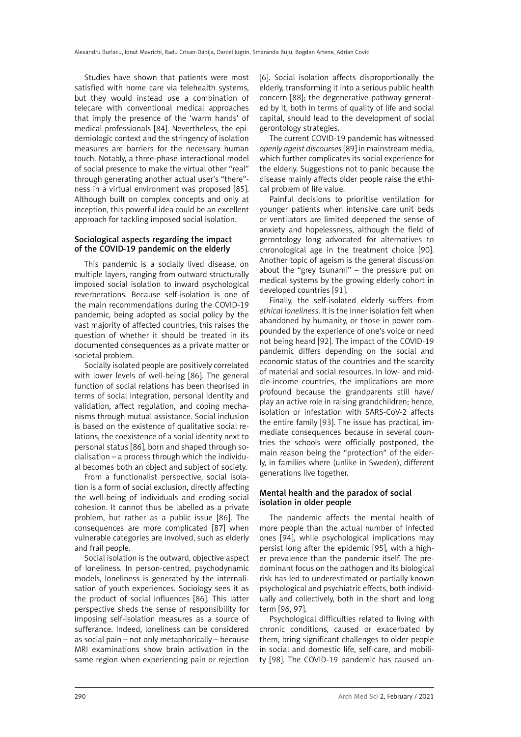Studies have shown that patients were most satisfied with home care via telehealth systems, but they would instead use a combination of telecare with conventional medical approaches that imply the presence of the 'warm hands' of medical professionals [84]. Nevertheless, the epidemiologic context and the stringency of isolation measures are barriers for the necessary human touch. Notably, a three-phase interactional model of social presence to make the virtual other "real" through generating another actual user's "there" ness in a virtual environment was proposed [85]. Although built on complex concepts and only at inception, this powerful idea could be an excellent approach for tackling imposed social isolation.

#### Sociological aspects regarding the impact of the COVID-19 pandemic on the elderly

This pandemic is a socially lived disease, on multiple layers, ranging from outward structurally imposed social isolation to inward psychological reverberations. Because self-isolation is one of the main recommendations during the COVID-19 pandemic, being adopted as social policy by the vast majority of affected countries, this raises the question of whether it should be treated in its documented consequences as a private matter or societal problem.

Socially isolated people are positively correlated with lower levels of well-being [86]. The general function of social relations has been theorised in terms of social integration, personal identity and validation, affect regulation, and coping mechanisms through mutual assistance. Social inclusion is based on the existence of qualitative social relations, the coexistence of a social identity next to personal status [86], born and shaped through socialisation – a process through which the individual becomes both an object and subject of society.

From a functionalist perspective, social isolation is a form of social exclusion, directly affecting the well-being of individuals and eroding social cohesion. It cannot thus be labelled as a private problem, but rather as a public issue [86]. The consequences are more complicated [87] when vulnerable categories are involved, such as elderly and frail people.

Social isolation is the outward, objective aspect of loneliness. In person-centred, psychodynamic models, loneliness is generated by the internalisation of youth experiences. Sociology sees it as the product of social influences [86]. This latter perspective sheds the sense of responsibility for imposing self-isolation measures as a source of sufferance. Indeed, loneliness can be considered as social pain – not only metaphorically – because MRI examinations show brain activation in the same region when experiencing pain or rejection [6]. Social isolation affects disproportionally the elderly, transforming it into a serious public health concern [88]; the degenerative pathway generated by it, both in terms of quality of life and social capital, should lead to the development of social gerontology strategies.

The current COVID-19 pandemic has witnessed *openly ageist discourses* [89] in mainstream media, which further complicates its social experience for the elderly. Suggestions not to panic because the disease mainly affects older people raise the ethical problem of life value.

Painful decisions to prioritise ventilation for younger patients when intensive care unit beds or ventilators are limited deepened the sense of anxiety and hopelessness, although the field of gerontology long advocated for alternatives to chronological age in the treatment choice [90]. Another topic of ageism is the general discussion about the "grey tsunami" – the pressure put on medical systems by the growing elderly cohort in developed countries [91].

Finally, the self-isolated elderly suffers from *ethical loneliness*. It is the inner isolation felt when abandoned by humanity, or those in power compounded by the experience of one's voice or need not being heard [92]. The impact of the COVID-19 pandemic differs depending on the social and economic status of the countries and the scarcity of material and social resources. In low- and middle-income countries, the implications are more profound because the grandparents still have/ play an active role in raising grandchildren; hence, isolation or infestation with SARS-CoV-2 affects the entire family [93]. The issue has practical, immediate consequences because in several countries the schools were officially postponed, the main reason being the "protection" of the elderly, in families where (unlike in Sweden), different generations live together.

#### Mental health and the paradox of social isolation in older people

The pandemic affects the mental health of more people than the actual number of infected ones [94], while psychological implications may persist long after the epidemic [95], with a higher prevalence than the pandemic itself. The predominant focus on the pathogen and its biological risk has led to underestimated or partially known psychological and psychiatric effects, both individually and collectively, both in the short and long term [96, 97].

Psychological difficulties related to living with chronic conditions, caused or exacerbated by them, bring significant challenges to older people in social and domestic life, self-care, and mobility [98]. The COVID-19 pandemic has caused un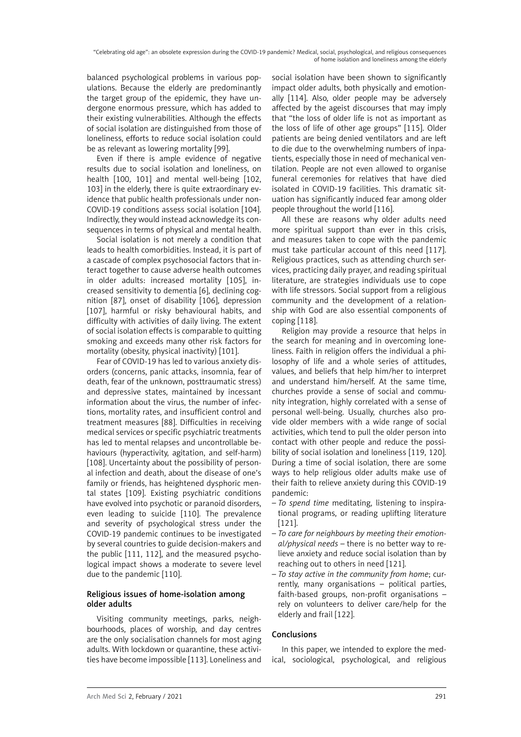balanced psychological problems in various populations. Because the elderly are predominantly the target group of the epidemic, they have undergone enormous pressure, which has added to their existing vulnerabilities. Although the effects of social isolation are distinguished from those of loneliness, efforts to reduce social isolation could be as relevant as lowering mortality [99].

Even if there is ample evidence of negative results due to social isolation and loneliness, on health [100, 101] and mental well-being [102, 103] in the elderly, there is quite extraordinary evidence that public health professionals under non-COVID-19 conditions assess social isolation [104]. Indirectly, they would instead acknowledge its consequences in terms of physical and mental health.

Social isolation is not merely a condition that leads to health comorbidities. Instead, it is part of a cascade of complex psychosocial factors that interact together to cause adverse health outcomes in older adults: increased mortality [105], increased sensitivity to dementia [6], declining cognition [87], onset of disability [106], depression [107], harmful or risky behavioural habits, and difficulty with activities of daily living. The extent of social isolation effects is comparable to quitting smoking and exceeds many other risk factors for mortality (obesity, physical inactivity) [101].

Fear of COVID-19 has led to various anxiety disorders (concerns, panic attacks, insomnia, fear of death, fear of the unknown, posttraumatic stress) and depressive states, maintained by incessant information about the virus, the number of infections, mortality rates, and insufficient control and treatment measures [88]. Difficulties in receiving medical services or specific psychiatric treatments has led to mental relapses and uncontrollable behaviours (hyperactivity, agitation, and self-harm) [108]. Uncertainty about the possibility of personal infection and death, about the disease of one's family or friends, has heightened dysphoric mental states [109]. Existing psychiatric conditions have evolved into psychotic or paranoid disorders, even leading to suicide [110]. The prevalence and severity of psychological stress under the COVID-19 pandemic continues to be investigated by several countries to guide decision-makers and the public [111, 112], and the measured psychological impact shows a moderate to severe level due to the pandemic [110].

# Religious issues of home-isolation among older adults

Visiting community meetings, parks, neighbourhoods, places of worship, and day centres are the only socialisation channels for most aging adults. With lockdown or quarantine, these activities have become impossible [113]. Loneliness and

social isolation have been shown to significantly impact older adults, both physically and emotionally [114]. Also, older people may be adversely affected by the ageist discourses that may imply that "the loss of older life is not as important as the loss of life of other age groups" [115]. Older patients are being denied ventilators and are left to die due to the overwhelming numbers of inpatients, especially those in need of mechanical ventilation. People are not even allowed to organise funeral ceremonies for relatives that have died isolated in COVID-19 facilities. This dramatic situation has significantly induced fear among older people throughout the world [116].

All these are reasons why older adults need more spiritual support than ever in this crisis, and measures taken to cope with the pandemic must take particular account of this need [117]. Religious practices, such as attending church services, practicing daily prayer, and reading spiritual literature, are strategies individuals use to cope with life stressors. Social support from a religious community and the development of a relationship with God are also essential components of coping [118].

Religion may provide a resource that helps in the search for meaning and in overcoming loneliness. Faith in religion offers the individual a philosophy of life and a whole series of attitudes, values, and beliefs that help him/her to interpret and understand him/herself. At the same time, churches provide a sense of social and community integration, highly correlated with a sense of personal well-being. Usually, churches also provide older members with a wide range of social activities, which tend to pull the older person into contact with other people and reduce the possibility of social isolation and loneliness [119, 120]. During a time of social isolation, there are some ways to help religious older adults make use of their faith to relieve anxiety during this COVID-19 pandemic:

- *To spend time* meditating, listening to inspirational programs, or reading uplifting literature [121].
- *To care for neighbours by meeting their emotional/physical needs* – there is no better way to relieve anxiety and reduce social isolation than by reaching out to others in need [121].
- *To stay active in the community from home*; currently, many organisations – political parties, faith-based groups, non-profit organisations – rely on volunteers to deliver care/help for the elderly and frail [122].

# Conclusions

In this paper, we intended to explore the medical, sociological, psychological, and religious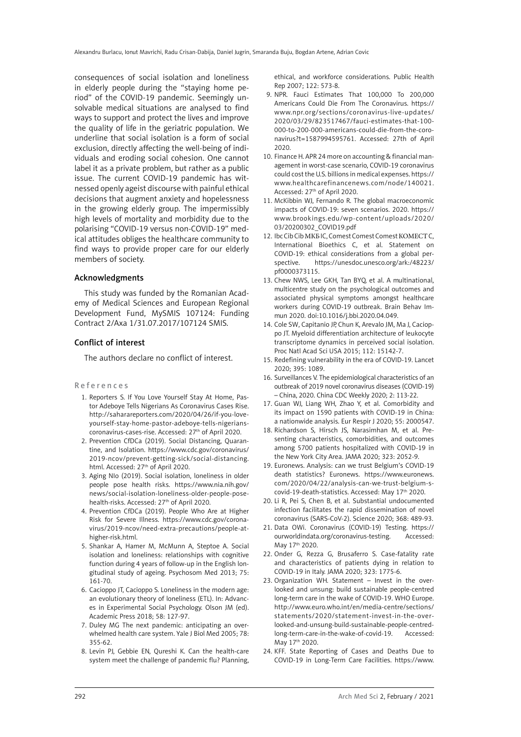consequences of social isolation and loneliness in elderly people during the "staying home period" of the COVID-19 pandemic. Seemingly unsolvable medical situations are analysed to find ways to support and protect the lives and improve the quality of life in the geriatric population. We underline that social isolation is a form of social exclusion, directly affecting the well-being of individuals and eroding social cohesion. One cannot label it as a private problem, but rather as a public issue. The current COVID-19 pandemic has witnessed openly ageist discourse with painful ethical decisions that augment anxiety and hopelessness in the growing elderly group. The impermissibly high levels of mortality and morbidity due to the polarising "COVID-19 versus non-COVID-19" medical attitudes obliges the healthcare community to find ways to provide proper care for our elderly members of society.

# Acknowledgments

This study was funded by the Romanian Academy of Medical Sciences and European Regional Development Fund, MySMIS 107124: Funding Contract 2/Axa 1/31.07.2017/107124 SMIS.

# Conflict of interest

The authors declare no conflict of interest.

#### R e f e r e n c e s

- 1. Reporters S. If You Love Yourself Stay At Home, Pastor Adeboye Tells Nigerians As Coronavirus Cases Rise. http://saharareporters.com/2020/04/26/if-you-loveyourself-stay-home-pastor-adeboye-tells-nigerianscoronavirus-cases-rise. Accessed: 27<sup>th</sup> of April 2020.
- 2. Prevention CfDCa (2019). Social Distancing, Quarantine, and Isolation. https://www.cdc.gov/coronavirus/ 2019-ncov/prevent-getting-sick/social-distancing. html. Accessed: 27<sup>th</sup> of April 2020.
- 3. Aging NIo (2019). Social isolation, loneliness in older people pose health risks. https://www.nia.nih.gov/ news/social-isolation-loneliness-older-people-posehealth-risks. Accessed: 27<sup>th</sup> of April 2020.
- 4. Prevention CfDCa (2019). People Who Are at Higher Risk for Severe Illness. https://www.cdc.gov/coronavirus/2019-ncov/need-extra-precautions/people-athigher-risk.html.
- 5. Shankar A, Hamer M, McMunn A, Steptoe A. Social isolation and loneliness: relationships with cognitive function during 4 years of follow-up in the English longitudinal study of ageing. Psychosom Med 2013; 75: 161-70.
- 6. Cacioppo JT, Cacioppo S. Loneliness in the modern age: an evolutionary theory of loneliness (ETL). In: Advances in Experimental Social Psychology. Olson JM (ed). Academic Press 2018; 58: 127-97.
- 7. Duley MG The next pandemic: anticipating an overwhelmed health care system. Yale J Biol Med 2005; 78: 355-62.
- 8. Levin PJ, Gebbie EN, Qureshi K. Can the health-care system meet the challenge of pandemic flu? Planning,

ethical, and workforce considerations. Public Health Rep 2007; 122: 573-8.

- 9. NPR. Fauci Estimates That 100,000 To 200,000 Americans Could Die From The Coronavirus. https:// www.npr.org/sections/coronavirus-live-updates/ 2020/03/29/823517467/fauci-estimates-that-100- 000-to-200-000-americans-could-die-from-the-coronavirus?t=1587994595761. Accessed: 27th of April 2020.
- 10. Finance H. APR 24 more on accounting & financial management in worst-case scenario, COVID-19 coronavirus could cost the U.S. billions in medical expenses. https:// www.healthcarefinancenews.com/node/140021. Accessed: 27<sup>th</sup> of April 2020.
- 11. McKibbin WJ, Fernando R. The global macroeconomic impacts of COVID-19: seven scenarios. 2020. https:// www.brookings.edu/wp-content/uploads/2020/ 03/20200302\_COVID19.pdf
- 12. Ibc Cib Cib МКБ IC, Comest Comest Comest КОМЕСТ C, International Bioethics C, et al. Statement on COVID-19: ethical considerations from a global perspective. https://unesdoc.unesco.org/ark:/48223/ pf0000373115.
- 13. Chew NWS, Lee GKH, Tan BYQ, et al. A multinational, multicentre study on the psychological outcomes and associated physical symptoms amongst healthcare workers during COVID-19 outbreak. Brain Behav Immun 2020. doi:10.1016/j.bbi.2020.04.049.
- 14. Cole SW, Capitanio JP, Chun K, Arevalo JM, Ma J, Cacioppo JT. Myeloid differentiation architecture of leukocyte transcriptome dynamics in perceived social isolation. Proc Natl Acad Sci USA 2015; 112: 15142-7.
- 15. Redefining vulnerability in the era of COVID-19. Lancet 2020; 395: 1089.
- 16. Surveillances V. The epidemiological characteristics of an outbreak of 2019 novel coronavirus diseases (COVID-19) – China, 2020. China CDC Weekly 2020; 2: 113-22.
- 17. Guan WJ, Liang WH, Zhao Y, et al. Comorbidity and its impact on 1590 patients with COVID-19 in China: a nationwide analysis. Eur Respir J 2020; 55: 2000547.
- 18. Richardson S, Hirsch JS, Narasimhan M, et al. Presenting characteristics, comorbidities, and outcomes among 5700 patients hospitalized with COVID-19 in the New York City Area. JAMA 2020; 323: 2052-9.
- 19. Euronews. Analysis: can we trust Belgium's COVID-19 death statistics? Euronews. https://www.euronews. com/2020/04/22/analysis-can-we-trust-belgium-scovid-19-death-statistics. Accessed: May 17th 2020.
- 20. Li R, Pei S, Chen B, et al. Substantial undocumented infection facilitates the rapid dissemination of novel coronavirus (SARS-CoV-2). Science 2020; 368: 489-93.
- 21. Data OWi. Coronavirus (COVID-19) Testing. https:// ourworldindata.org/coronavirus-testing. Accessed: May 17th 2020.
- 22. Onder G, Rezza G, Brusaferro S. Case-fatality rate and characteristics of patients dying in relation to COVID-19 in Italy. JAMA 2020; 323: 1775-6.
- 23. Organization WH. Statement Invest in the overlooked and unsung: build sustainable people-centred long-term care in the wake of COVID-19. WHO Europe. http://www.euro.who.int/en/media-centre/sections/ statements/2020/statement-invest-in-the-overlooked-and-unsung-build-sustainable-people-centredlong-term-care-in-the-wake-of-covid-19. Accessed: May 17th 2020.
- 24. KFF. State Reporting of Cases and Deaths Due to COVID-19 in Long-Term Care Facilities. https://www.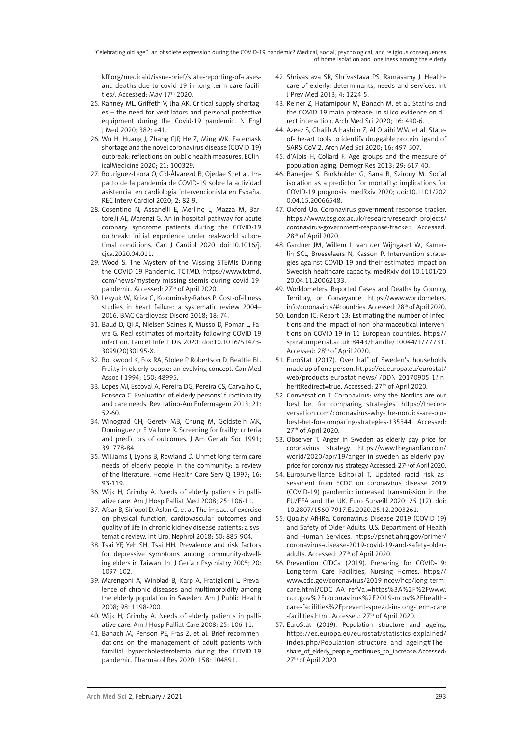kff.org/medicaid/issue-brief/state-reporting-of-casesand-deaths-due-to-covid-19-in-long-term-care-facilities/. Accessed: May 17<sup>th</sup> 2020.

- 25. Ranney ML, Griffeth V, Jha AK. Critical supply shortages – the need for ventilators and personal protective equipment during the Covid-19 pandemic. N Engl J Med 2020; 382: e41.
- 26. Wu H, Huang J, Zhang CJP, He Z, Ming WK. Facemask shortage and the novel coronavirus disease (COVID-19) outbreak: reflections on public health measures. EClinicalMedicine 2020; 21: 100329.
- 27. Rodríguez-Leora O, Cid-Álvarezd B, Ojedae S, et al. Impacto de la pandemia de COVID-19 sobre la actividad asistencial en cardiología intervencionista en España. REC Interv Cardiol 2020; 2: 82-9.
- 28. Cosentino N, Assanelli E, Merlino L, Mazza M, Bartorelli AL, Marenzi G. An in-hospital pathway for acute coronary syndrome patients during the COVID-19 outbreak: initial experience under real-world suboptimal conditions. Can J Cardiol 2020. doi:10.1016/j. cjca.2020.04.011.
- 29. Wood S. The Mystery of the Missing STEMIs During the COVID-19 Pandemic. TCTMD. https://www.tctmd. com/news/mystery-missing-stemis-during-covid-19 pandemic. Accessed: 27<sup>th</sup> of April 2020.
- 30. Lesyuk W, Kriza C, Kolominsky-Rabas P. Cost-of-illness studies in heart failure: a systematic review 2004– 2016. BMC Cardiovasc Disord 2018; 18: 74.
- 31. Baud D, Qi X, Nielsen-Saines K, Musso D, Pomar L, Favre G. Real estimates of mortality following COVID-19 infection. Lancet Infect Dis 2020. doi:10.1016/S1473- 3099(20)30195-X.
- 32. Rockwood K, Fox RA, Stolee P, Robertson D, Beattie BL. Frailty in elderly people: an evolving concept. Can Med Assoc J 1994; 150: 48995.
- 33. Lopes MJ, Escoval A, Pereira DG, Pereira CS, Carvalho C, Fonseca C. Evaluation of elderly persons' functionality and care needs. Rev Latino-Am Enfermagem 2013; 21: 52-60.
- 34. Winograd CH, Gerety MB, Chung M, Goldstein MK, Dominguez Jr F, Vallone R. Screening for frailty: criteria and predictors of outcomes. J Am Geriatr Soc 1991; 39: 778-84.
- 35. Williams J, Lyons B, Rowland D. Unmet long-term care needs of elderly people in the community: a review of the literature. Home Health Care Serv Q 1997; 16: 93-119.
- 36. Wijk H, Grimby A. Needs of elderly patients in palliative care. Am J Hosp Palliat Med 2008; 25: 106-11.
- 37. Afsar B, Siriopol D, Aslan G, et al. The impact of exercise on physical function, cardiovascular outcomes and quality of life in chronic kidney disease patients: a systematic review. Int Urol Nephrol 2018; 50: 885-904.
- 38. Tsai YF, Yeh SH, Tsai HH. Prevalence and risk factors for depressive symptoms among community-dwelling elders in Taiwan. Int J Geriatr Psychiatry 2005; 20: 1097-102.
- 39. Marengoni A, Winblad B, Karp A, Fratiglioni L. Prevalence of chronic diseases and multimorbidity among the elderly population in Sweden. Am J Public Health 2008; 98: 1198-200.
- 40. Wijk H, Grimby A. Needs of elderly patients in palliative care. Am J Hosp Palliat Care 2008; 25: 106-11.
- 41. Banach M, Penson PE, Fras Z, et al. Brief recommendations on the management of adult patients with familial hypercholesterolemia during the COVID-19 pandemic. Pharmacol Res 2020; 158: 104891.
- 42. Shrivastava SR, Shrivastava PS, Ramasamy J. Healthcare of elderly: determinants, needs and services. Int J Prev Med 2013; 4: 1224-5.
- 43. Reiner Z, Hatamipour M, Banach M, et al. Statins and the COVID-19 main protease: in silico evidence on direct interaction. Arch Med Sci 2020; 16: 490-6.
- 44. Azeez S, Ghalib Alhashim Z, Al Otaibi WM, et al. Stateof-the-art tools to identify druggable protein ligand of SARS-CoV-2. Arch Med Sci 2020; 16: 497-507.
- 45. d'Albis H, Collard F. Age groups and the measure of population aging. Demogr Res 2013; 29: 617-40.
- 46. Banerjee S, Burkholder G, Sana B, Szirony M. Social isolation as a predictor for mortality: implications for COVID-19 prognosis. medRxiv 2020; doi:10.1101/202 0.04.15.20066548.
- 47. Oxford Uo. Coronavirus government response tracker. https://www.bsg.ox.ac.uk/research/research-projects/ coronavirus-government-response-tracker. Accessed: 28th of April 2020.
- 48. Gardner JM, Willem L, van der Wijngaart W, Kamerlin SCL, Brusselaers N, Kasson P. Intervention strategies against COVID-19 and their estimated impact on Swedish healthcare capacity. medRxiv doi:10.1101/20 20.04.11.20062133.
- 49. Worldometers. Reported Cases and Deaths by Country, Territory, or Conveyance. https://www.worldometers. info/coronavirus/#countries. Accessed: 28<sup>th</sup> of April 2020.
- 50. London IC. Report 13: Estimating the number of infections and the impact of non-pharmaceutical interventions on COVID-19 in 11 European countries. https:// spiral.imperial.ac.uk:8443/handle/10044/1/77731. Accessed: 28th of April 2020.
- 51. EuroStat (2017). Over half of Sweden's households made up of one person. https://ec.europa.eu/eurostat/ web/products-eurostat-news/-/DDN-20170905-1?inheritRedirect=true. Accessed: 27<sup>th</sup> of April 2020.
- 52. Conversation T. Coronavirus: why the Nordics are our best bet for comparing strategies. https://theconversation.com/coronavirus-why-the-nordics-are-ourbest-bet-for-comparing-strategies-135344. Accessed: 27th of April 2020.
- 53. Observer T. Anger in Sweden as elderly pay price for coronavirus strategy. https://www.theguardian.com/ world/2020/apr/19/anger-in-sweden-as-elderly-payprice-for-coronavirus-strategy. Accessed: 27<sup>th</sup> of April 2020.
- 54. Eurosurveillance Editorial T. Updated rapid risk assessment from ECDC on coronavirus disease 2019 (COVID-19) pandemic: increased transmission in the EU/EEA and the UK. Euro Surveill 2020; 25 (12). doi: 10.2807/1560-7917.Es.2020.25.12.2003261.
- 55. Quality AfHRa. Coronavirus Disease 2019 (COVID-19) and Safety of Older Adults. U.S. Department of Health and Human Services. https://psnet.ahrq.gov/primer/ coronavirus-disease-2019-covid-19-and-safety-olderadults. Accessed: 27<sup>th</sup> of April 2020.
- 56. Prevention CfDCa (2019). Preparing for COVID-19: Long-term Care Facilities, Nursing Homes. https:// www.cdc.gov/coronavirus/2019-ncov/hcp/long-termcare.html?CDC\_AA\_refVal=https%3A%2F%2Fwww. cdc.gov%2Fcoronavirus%2F2019-ncov%2Fhealthcare-facilities%2Fprevent-spread-in-long-term-care -facilities.html. Accessed: 27<sup>th</sup> of April 2020.
- 57. EuroStat (2019). Population structure and ageing. https://ec.europa.eu/eurostat/statistics-explained/ index.php/Population\_structure\_and\_ageing#The\_ share of elderly people continues to increase. Accessed: 27<sup>th</sup> of April 2020.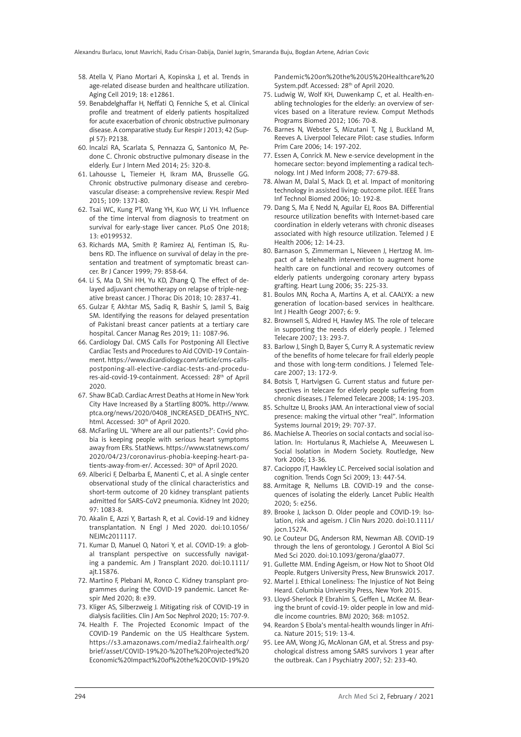- 58. Atella V, Piano Mortari A, Kopinska J, et al. Trends in age-related disease burden and healthcare utilization. Aging Cell 2019; 18: e12861.
- 59. Benabdelghaffar H, Neffati O, Fenniche S, et al. Clinical profile and treatment of elderly patients hospitalized for acute exacerbation of chronic obstructive pulmonary disease. A comparative study. Eur Respir J 2013; 42 (Suppl 57): P2138.
- 60. Incalzi RA, Scarlata S, Pennazza G, Santonico M, Pedone C. Chronic obstructive pulmonary disease in the elderly. Eur J Intern Med 2014; 25: 320-8.
- 61. Lahousse L, Tiemeier H, Ikram MA, Brusselle GG. Chronic obstructive pulmonary disease and cerebrovascular disease: a comprehensive review. Respir Med 2015; 109: 1371-80.
- 62. Tsai WC, Kung PT, Wang YH, Kuo WY, Li YH. Influence of the time interval from diagnosis to treatment on survival for early-stage liver cancer. PLoS One 2018; 13: e0199532.
- 63. Richards MA, Smith P, Ramirez AJ, Fentiman IS, Rubens RD. The influence on survival of delay in the presentation and treatment of symptomatic breast cancer. Br J Cancer 1999; 79: 858-64.
- 64. Li S, Ma D, Shi HH, Yu KD, Zhang Q. The effect of delayed adjuvant chemotherapy on relapse of triple-negative breast cancer. J Thorac Dis 2018; 10: 2837-41.
- 65. Gulzar F, Akhtar MS, Sadiq R, Bashir S, Jamil S, Baig SM. Identifying the reasons for delayed presentation of Pakistani breast cancer patients at a tertiary care hospital. Cancer Manag Res 2019; 11: 1087-96.
- 66. Cardiology DaI. CMS Calls For Postponing All Elective Cardiac Tests and Procedures to Aid COVID-19 Containment. https://www.dicardiology.com/article/cms-callspostponing-all-elective-cardiac-tests-and-procedures-aid-covid-19-containment. Accessed: 28<sup>th</sup> of April 2020.
- 67. Shaw BCaD. Cardiac Arrest Deaths at Home in New York City Have Increased By a Startling 800%. http://www. ptca.org/news/2020/0408\_INCREASED\_DEATHS\_NYC. html. Accessed: 30<sup>th</sup> of April 2020.
- 68. McFarling UL. 'Where are all our patients?': Covid phobia is keeping people with serious heart symptoms away from ERs. StatNews. https://www.statnews.com/ 2020/04/23/coronavirus-phobia-keeping-heart-patients-away-from-er/. Accessed: 30<sup>th</sup> of April 2020.
- 69. Alberici F, Delbarba E, Manenti C, et al. A single center observational study of the clinical characteristics and short-term outcome of 20 kidney transplant patients admitted for SARS-CoV2 pneumonia. Kidney Int 2020; 97: 1083-8.
- 70. Akalin E, Azzi Y, Bartash R, et al. Covid-19 and kidney transplantation. N Engl J Med 2020. doi:10.1056/ NEJMc2011117.
- 71. Kumar D, Manuel O, Natori Y, et al. COVID-19: a global transplant perspective on successfully navigating a pandemic. Am J Transplant 2020. doi:10.1111/ ajt.15876.
- 72. Martino F, Plebani M, Ronco C. Kidney transplant programmes during the COVID-19 pandemic. Lancet Respir Med 2020; 8: e39.
- 73. Kliger AS, Silberzweig J. Mitigating risk of COVID-19 in dialysis facilities. Clin J Am Soc Nephrol 2020; 15: 707-9.
- 74. Health F. The Projected Economic Impact of the COVID-19 Pandemic on the US Healthcare System. https://s3.amazonaws.com/media2.fairhealth.org/ brief/asset/COVID-19%20-%20The%20Projected%20 Economic%20Impact%20of%20the%20COVID-19%20

Pandemic%20on%20the%20US%20Healthcare%20 System.pdf. Accessed: 28th of April 2020.

- 75. Ludwig W, Wolf KH, Duwenkamp C, et al. Health-enabling technologies for the elderly: an overview of services based on a literature review. Comput Methods Programs Biomed 2012; 106: 70-8.
- 76. Barnes N, Webster S, Mizutani T, Ng J, Buckland M, Reeves A. Liverpool Telecare Pilot: case studies. Inform Prim Care 2006; 14: 197-202.
- 77. Essen A, Conrick M. New e-service development in the homecare sector: beyond implementing a radical technology. Int J Med Inform 2008; 77: 679-88.
- 78. Alwan M, Dalal S, Mack D, et al. Impact of monitoring technology in assisted living: outcome pilot. IEEE Trans Inf Technol Biomed 2006; 10: 192-8.
- 79. Dang S, Ma F, Nedd N, Aguilar EJ, Roos BA. Differential resource utilization benefits with Internet-based care coordination in elderly veterans with chronic diseases associated with high resource utilization. Telemed J E Health 2006; 12: 14-23.
- 80. Barnason S, Zimmerman L, Nieveen J, Hertzog M. Impact of a telehealth intervention to augment home health care on functional and recovery outcomes of elderly patients undergoing coronary artery bypass grafting. Heart Lung 2006; 35: 225-33.
- 81. Boulos MN, Rocha A, Martins A, et al. CAALYX: a new generation of location-based services in healthcare. Int J Health Geogr 2007; 6: 9.
- 82. Brownsell S, Aldred H, Hawley MS. The role of telecare in supporting the needs of elderly people. J Telemed Telecare 2007; 13: 293-7.
- 83. Barlow J, Singh D, Bayer S, Curry R. A systematic review of the benefits of home telecare for frail elderly people and those with long-term conditions. J Telemed Telecare 2007; 13: 172-9.
- 84. Botsis T, Hartvigsen G. Current status and future perspectives in telecare for elderly people suffering from chronic diseases. J Telemed Telecare 2008; 14: 195-203.
- 85. Schultze U, Brooks JAM. An interactional view of social presence: making the virtual other "real". Information Systems Journal 2019; 29: 707-37.
- 86. Machielse A. Theories on social contacts and social isolation. In: Hortulanus R, Machielse A, Meeuwesen L. Social Isolation in Modern Society. Routledge, New York 2006; 13-36.
- 87. Cacioppo JT, Hawkley LC. Perceived social isolation and cognition. Trends Cogn Sci 2009; 13: 447-54.
- 88. Armitage R, Nellums LB. COVID-19 and the consequences of isolating the elderly. Lancet Public Health 2020; 5: e256.
- 89. Brooke J, Jackson D. Older people and COVID-19: Isolation, risk and ageism. J Clin Nurs 2020. doi:10.1111/ jocn.15274.
- 90. Le Couteur DG, Anderson RM, Newman AB. COVID-19 through the lens of gerontology. J Gerontol A Biol Sci Med Sci 2020. doi:10.1093/gerona/glaa077.
- 91. Gullette MM. Ending Ageism, or How Not to Shoot Old People. Rutgers University Press, New Brunswick 2017.
- 92. Martel J. Ethical Loneliness: The Injustice of Not Being Heard. Columbia University Press, New York 2015.
- 93. Lloyd-Sherlock P, Ebrahim S, Geffen L, McKee M. Bearing the brunt of covid-19: older people in low and middle income countries. BMJ 2020; 368: m1052.
- 94. Reardon S Ebola's mental-health wounds linger in Africa. Nature 2015; 519: 13-4.
- 95. Lee AM, Wong JG, McAlonan GM, et al. Stress and psychological distress among SARS survivors 1 year after the outbreak. Can J Psychiatry 2007; 52: 233-40.